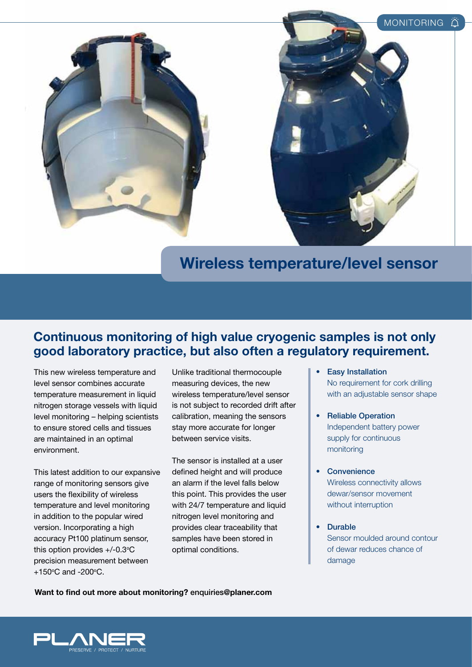



## **Wireless temperature/level sensor**

## **Continuous monitoring of high value cryogenic samples is not only good laboratory practice, but also often a regulatory requirement.**

This new wireless temperature and level sensor combines accurate temperature measurement in liquid nitrogen storage vessels with liquid level monitoring – helping scientists to ensure stored cells and tissues are maintained in an optimal environment.

This latest addition to our expansive range of monitoring sensors give users the flexibility of wireless temperature and level monitoring in addition to the popular wired version. Incorporating a high accuracy Pt100 platinum sensor, this option provides  $+/-0.3$ °C precision measurement between +150°C and -200°C.

Unlike traditional thermocouple measuring devices, the new wireless temperature/level sensor is not subject to recorded drift after calibration, meaning the sensors stay more accurate for longer between service visits.

The sensor is installed at a user defined height and will produce an alarm if the level falls below this point. This provides the user with 24/7 temperature and liquid nitrogen level monitoring and provides clear traceability that samples have been stored in optimal conditions.

- Easy Installation No requirement for cork drilling with an adjustable sensor shape
- Reliable Operation Independent battery power supply for continuous monitoring
- Convenience Wireless connectivity allows dewar/sensor movement without interruption
- s Durable Sensor moulded around contour of dewar reduces chance of damage

**Want to find out more about monitoring?** enquiries**@planer.com**